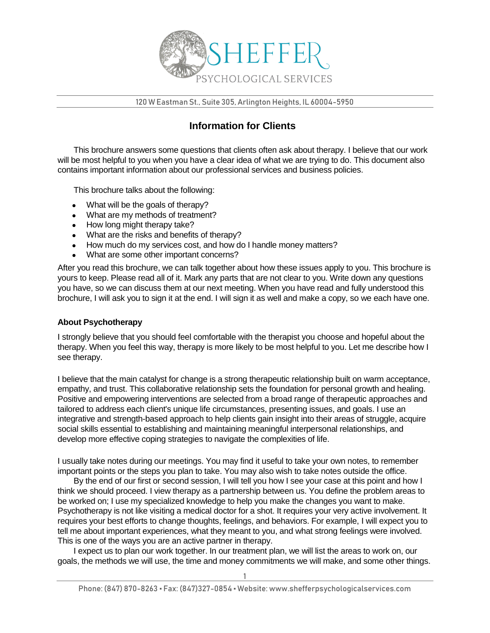

120 W Eastman St., Suite 305, Arlington Heights, IL 60004-5950

## **Information for Clients**

This brochure answers some questions that clients often ask about therapy. I believe that our work will be most helpful to you when you have a clear idea of what we are trying to do. This document also contains important information about our professional services and business policies.

This brochure talks about the following:

- What will be the goals of therapy?
- What are my methods of treatment?
- How long might therapy take?
- What are the risks and benefits of therapy?
- How much do my services cost, and how do I handle money matters?
- What are some other important concerns?

After you read this brochure, we can talk together about how these issues apply to you. This brochure is yours to keep. Please read all of it. Mark any parts that are not clear to you. Write down any questions you have, so we can discuss them at our next meeting. When you have read and fully understood this brochure, I will ask you to sign it at the end. I will sign it as well and make a copy, so we each have one.

## **About Psychotherapy**

I strongly believe that you should feel comfortable with the therapist you choose and hopeful about the therapy. When you feel this way, therapy is more likely to be most helpful to you. Let me describe how I see therapy.

I believe that the main catalyst for change is a strong therapeutic relationship built on warm acceptance, empathy, and trust. This collaborative relationship sets the foundation for personal growth and healing. Positive and empowering interventions are selected from a broad range of therapeutic approaches and tailored to address each client's unique life circumstances, presenting issues, and goals. I use an integrative and strength-based approach to help clients gain insight into their areas of struggle, acquire social skills essential to establishing and maintaining meaningful interpersonal relationships, and develop more effective coping strategies to navigate the complexities of life.

I usually take notes during our meetings. You may find it useful to take your own notes, to remember important points or the steps you plan to take. You may also wish to take notes outside the office.

By the end of our first or second session, I will tell you how I see your case at this point and how I think we should proceed. I view therapy as a partnership between us. You define the problem areas to be worked on; I use my specialized knowledge to help you make the changes you want to make. Psychotherapy is not like visiting a medical doctor for a shot. It requires your very active involvement. It requires your best efforts to change thoughts, feelings, and behaviors. For example, I will expect you to tell me about important experiences, what they meant to you, and what strong feelings were involved. This is one of the ways you are an active partner in therapy.

I expect us to plan our work together. In our treatment plan, we will list the areas to work on, our goals, the methods we will use, the time and money commitments we will make, and some other things.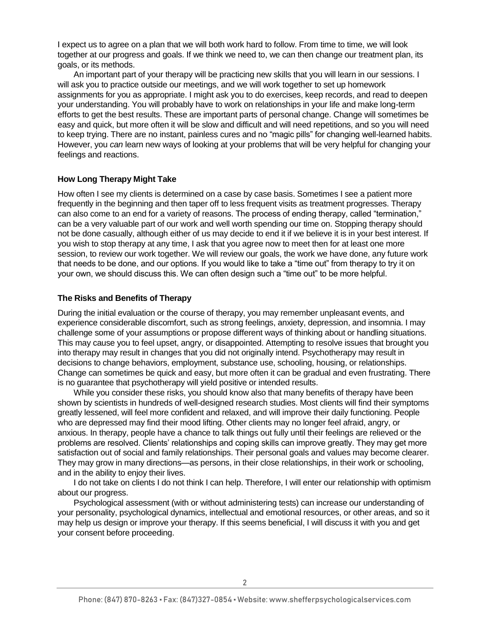I expect us to agree on a plan that we will both work hard to follow. From time to time, we will look together at our progress and goals. If we think we need to, we can then change our treatment plan, its goals, or its methods.

An important part of your therapy will be practicing new skills that you will learn in our sessions. I will ask you to practice outside our meetings, and we will work together to set up homework assignments for you as appropriate. I might ask you to do exercises, keep records, and read to deepen your understanding. You will probably have to work on relationships in your life and make long-term efforts to get the best results. These are important parts of personal change. Change will sometimes be easy and quick, but more often it will be slow and difficult and will need repetitions, and so you will need to keep trying. There are no instant, painless cures and no "magic pills" for changing well-learned habits. However, you *can* learn new ways of looking at your problems that will be very helpful for changing your feelings and reactions.

## **How Long Therapy Might Take**

How often I see my clients is determined on a case by case basis. Sometimes I see a patient more frequently in the beginning and then taper off to less frequent visits as treatment progresses. Therapy can also come to an end for a variety of reasons. The process of ending therapy, called "termination," can be a very valuable part of our work and well worth spending our time on. Stopping therapy should not be done casually, although either of us may decide to end it if we believe it is in your best interest. If you wish to stop therapy at any time, I ask that you agree now to meet then for at least one more session, to review our work together. We will review our goals, the work we have done, any future work that needs to be done, and our options. If you would like to take a "time out" from therapy to try it on your own, we should discuss this. We can often design such a "time out" to be more helpful.

## **The Risks and Benefits of Therapy**

During the initial evaluation or the course of therapy, you may remember unpleasant events, and experience considerable discomfort, such as strong feelings, anxiety, depression, and insomnia. I may challenge some of your assumptions or propose different ways of thinking about or handling situations. This may cause you to feel upset, angry, or disappointed. Attempting to resolve issues that brought you into therapy may result in changes that you did not originally intend. Psychotherapy may result in decisions to change behaviors, employment, substance use, schooling, housing, or relationships. Change can sometimes be quick and easy, but more often it can be gradual and even frustrating. There is no guarantee that psychotherapy will yield positive or intended results.

While you consider these risks, you should know also that many benefits of therapy have been shown by scientists in hundreds of well-designed research studies. Most clients will find their symptoms greatly lessened, will feel more confident and relaxed, and will improve their daily functioning. People who are depressed may find their mood lifting. Other clients may no longer feel afraid, angry, or anxious. In therapy, people have a chance to talk things out fully until their feelings are relieved or the problems are resolved. Clients' relationships and coping skills can improve greatly. They may get more satisfaction out of social and family relationships. Their personal goals and values may become clearer. They may grow in many directions—as persons, in their close relationships, in their work or schooling, and in the ability to enjoy their lives.

I do not take on clients I do not think I can help. Therefore, I will enter our relationship with optimism about our progress.

Psychological assessment (with or without administering tests) can increase our understanding of your personality, psychological dynamics, intellectual and emotional resources, or other areas, and so it may help us design or improve your therapy. If this seems beneficial, I will discuss it with you and get your consent before proceeding.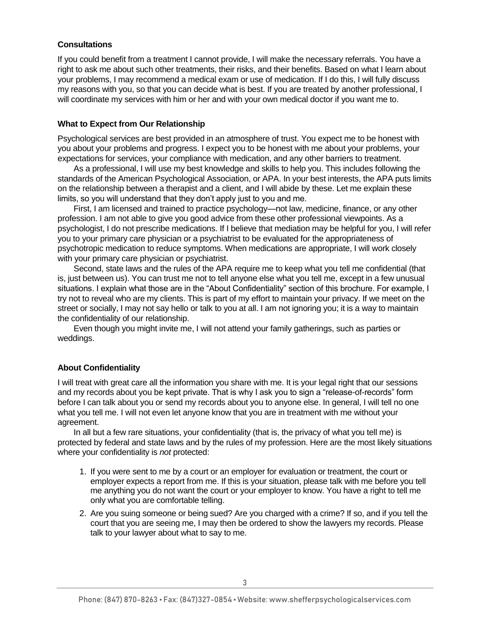## **Consultations**

If you could benefit from a treatment I cannot provide, I will make the necessary referrals. You have a right to ask me about such other treatments, their risks, and their benefits. Based on what I learn about your problems, I may recommend a medical exam or use of medication. If I do this, I will fully discuss my reasons with you, so that you can decide what is best. If you are treated by another professional, I will coordinate my services with him or her and with your own medical doctor if you want me to.

## **What to Expect from Our Relationship**

Psychological services are best provided in an atmosphere of trust. You expect me to be honest with you about your problems and progress. I expect you to be honest with me about your problems, your expectations for services, your compliance with medication, and any other barriers to treatment.

As a professional, I will use my best knowledge and skills to help you. This includes following the standards of the American Psychological Association, or APA. In your best interests, the APA puts limits on the relationship between a therapist and a client, and I will abide by these. Let me explain these limits, so you will understand that they don't apply just to you and me.

First, I am licensed and trained to practice psychology—not law, medicine, finance, or any other profession. I am not able to give you good advice from these other professional viewpoints. As a psychologist, I do not prescribe medications. If I believe that mediation may be helpful for you, I will refer you to your primary care physician or a psychiatrist to be evaluated for the appropriateness of psychotropic medication to reduce symptoms. When medications are appropriate, I will work closely with your primary care physician or psychiatrist.

Second, state laws and the rules of the APA require me to keep what you tell me confidential (that is, just between us). You can trust me not to tell anyone else what you tell me, except in a few unusual situations. I explain what those are in the "About Confidentiality" section of this brochure. For example, I try not to reveal who are my clients. This is part of my effort to maintain your privacy. If we meet on the street or socially, I may not say hello or talk to you at all. I am not ignoring you; it is a way to maintain the confidentiality of our relationship.

Even though you might invite me, I will not attend your family gatherings, such as parties or weddings.

## **About Confidentiality**

I will treat with great care all the information you share with me. It is your legal right that our sessions and my records about you be kept private. That is why I ask you to sign a "release-of-records" form before I can talk about you or send my records about you to anyone else. In general, I will tell no one what you tell me. I will not even let anyone know that you are in treatment with me without your agreement.

In all but a few rare situations, your confidentiality (that is, the privacy of what you tell me) is protected by federal and state laws and by the rules of my profession. Here are the most likely situations where your confidentiality is *not* protected:

- 1. If you were sent to me by a court or an employer for evaluation or treatment, the court or employer expects a report from me. If this is your situation, please talk with me before you tell me anything you do not want the court or your employer to know. You have a right to tell me only what you are comfortable telling.
- 2. Are you suing someone or being sued? Are you charged with a crime? If so, and if you tell the court that you are seeing me, I may then be ordered to show the lawyers my records. Please talk to your lawyer about what to say to me.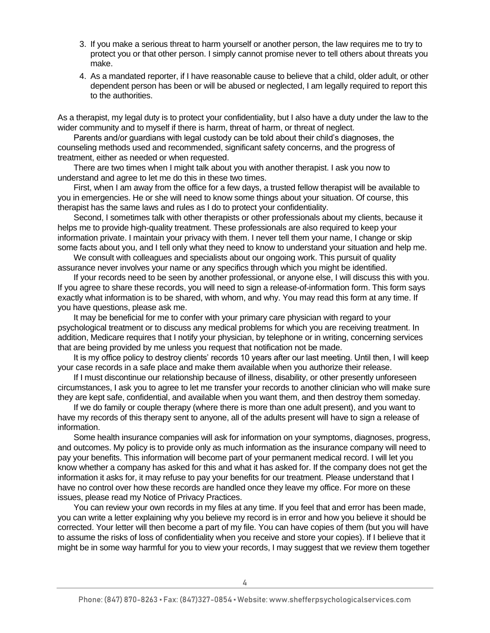- 3. If you make a serious threat to harm yourself or another person, the law requires me to try to protect you or that other person. I simply cannot promise never to tell others about threats you make.
- 4. As a mandated reporter, if I have reasonable cause to believe that a child, older adult, or other dependent person has been or will be abused or neglected, I am legally required to report this to the authorities.

As a therapist, my legal duty is to protect your confidentiality, but I also have a duty under the law to the wider community and to myself if there is harm, threat of harm, or threat of neglect.

Parents and/or guardians with legal custody can be told about their child's diagnoses, the counseling methods used and recommended, significant safety concerns, and the progress of treatment, either as needed or when requested.

There are two times when I might talk about you with another therapist. I ask you now to understand and agree to let me do this in these two times.

First, when I am away from the office for a few days, a trusted fellow therapist will be available to you in emergencies. He or she will need to know some things about your situation. Of course, this therapist has the same laws and rules as I do to protect your confidentiality.

Second, I sometimes talk with other therapists or other professionals about my clients, because it helps me to provide high-quality treatment. These professionals are also required to keep your information private. I maintain your privacy with them. I never tell them your name, I change or skip some facts about you, and I tell only what they need to know to understand your situation and help me.

We consult with colleagues and specialists about our ongoing work. This pursuit of quality assurance never involves your name or any specifics through which you might be identified.

If your records need to be seen by another professional, or anyone else, I will discuss this with you. If you agree to share these records, you will need to sign a release-of-information form. This form says exactly what information is to be shared, with whom, and why. You may read this form at any time. If you have questions, please ask me.

It may be beneficial for me to confer with your primary care physician with regard to your psychological treatment or to discuss any medical problems for which you are receiving treatment. In addition, Medicare requires that I notify your physician, by telephone or in writing, concerning services that are being provided by me unless you request that notification not be made.

It is my office policy to destroy clients' records 10 years after our last meeting. Until then, I will keep your case records in a safe place and make them available when you authorize their release.

If I must discontinue our relationship because of illness, disability, or other presently unforeseen circumstances, I ask you to agree to let me transfer your records to another clinician who will make sure they are kept safe, confidential, and available when you want them, and then destroy them someday.

If we do family or couple therapy (where there is more than one adult present), and you want to have my records of this therapy sent to anyone, all of the adults present will have to sign a release of information.

Some health insurance companies will ask for information on your symptoms, diagnoses, progress, and outcomes. My policy is to provide only as much information as the insurance company will need to pay your benefits. This information will become part of your permanent medical record. I will let you know whether a company has asked for this and what it has asked for. If the company does not get the information it asks for, it may refuse to pay your benefits for our treatment. Please understand that I have no control over how these records are handled once they leave my office. For more on these issues, please read my Notice of Privacy Practices.

You can review your own records in my files at any time. If you feel that and error has been made, you can write a letter explaining why you believe my record is in error and how you believe it should be corrected. Your letter will then become a part of my file. You can have copies of them (but you will have to assume the risks of loss of confidentiality when you receive and store your copies). If I believe that it might be in some way harmful for you to view your records, I may suggest that we review them together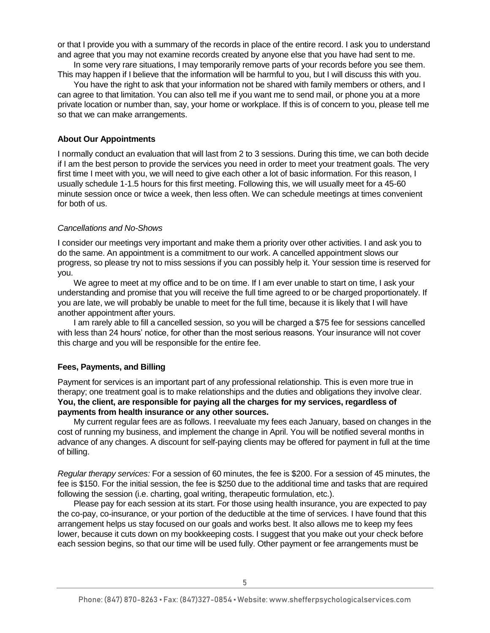or that I provide you with a summary of the records in place of the entire record. I ask you to understand and agree that you may not examine records created by anyone else that you have had sent to me.

In some very rare situations, I may temporarily remove parts of your records before you see them. This may happen if I believe that the information will be harmful to you, but I will discuss this with you.

You have the right to ask that your information not be shared with family members or others, and I can agree to that limitation. You can also tell me if you want me to send mail, or phone you at a more private location or number than, say, your home or workplace. If this is of concern to you, please tell me so that we can make arrangements.

#### **About Our Appointments**

I normally conduct an evaluation that will last from 2 to 3 sessions. During this time, we can both decide if I am the best person to provide the services you need in order to meet your treatment goals. The very first time I meet with you, we will need to give each other a lot of basic information. For this reason, I usually schedule 1-1.5 hours for this first meeting. Following this, we will usually meet for a 45-60 minute session once or twice a week, then less often. We can schedule meetings at times convenient for both of us.

#### *Cancellations and No-Shows*

I consider our meetings very important and make them a priority over other activities. I and ask you to do the same. An appointment is a commitment to our work. A cancelled appointment slows our progress, so please try not to miss sessions if you can possibly help it. Your session time is reserved for you.

We agree to meet at my office and to be on time. If I am ever unable to start on time, I ask your understanding and promise that you will receive the full time agreed to or be charged proportionately. If you are late, we will probably be unable to meet for the full time, because it is likely that I will have another appointment after yours.

I am rarely able to fill a cancelled session, so you will be charged a \$75 fee for sessions cancelled with less than 24 hours' notice, for other than the most serious reasons. Your insurance will not cover this charge and you will be responsible for the entire fee.

## **Fees, Payments, and Billing**

Payment for services is an important part of any professional relationship. This is even more true in therapy; one treatment goal is to make relationships and the duties and obligations they involve clear. **You, the client, are responsible for paying all the charges for my services, regardless of payments from health insurance or any other sources.** 

My current regular fees are as follows. I reevaluate my fees each January, based on changes in the cost of running my business, and implement the change in April. You will be notified several months in advance of any changes. A discount for self-paying clients may be offered for payment in full at the time of billing.

*Regular therapy services:* For a session of 60 minutes, the fee is \$200. For a session of 45 minutes, the fee is \$150. For the initial session, the fee is \$250 due to the additional time and tasks that are required following the session (i.e. charting, goal writing, therapeutic formulation, etc.).

Please pay for each session at its start. For those using health insurance, you are expected to pay the co-pay, co-insurance, or your portion of the deductible at the time of services. I have found that this arrangement helps us stay focused on our goals and works best. It also allows me to keep my fees lower, because it cuts down on my bookkeeping costs. I suggest that you make out your check before each session begins, so that our time will be used fully. Other payment or fee arrangements must be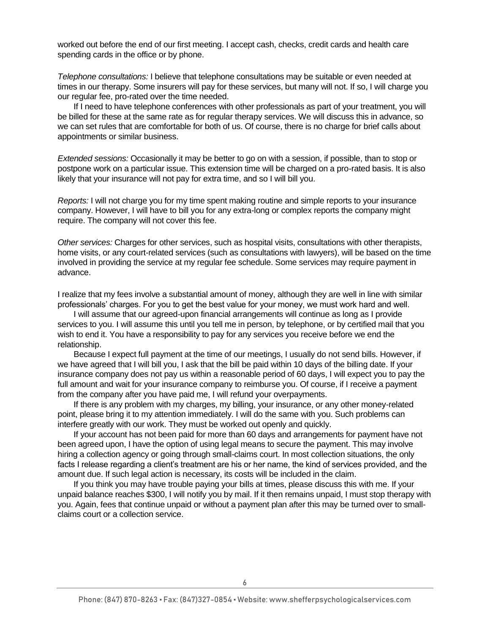worked out before the end of our first meeting. I accept cash, checks, credit cards and health care spending cards in the office or by phone.

*Telephone consultations:* I believe that telephone consultations may be suitable or even needed at times in our therapy. Some insurers will pay for these services, but many will not. If so, I will charge you our regular fee, pro-rated over the time needed.

If I need to have telephone conferences with other professionals as part of your treatment, you will be billed for these at the same rate as for regular therapy services. We will discuss this in advance, so we can set rules that are comfortable for both of us. Of course, there is no charge for brief calls about appointments or similar business.

*Extended sessions:* Occasionally it may be better to go on with a session, if possible, than to stop or postpone work on a particular issue. This extension time will be charged on a pro-rated basis. It is also likely that your insurance will not pay for extra time, and so I will bill you.

*Reports:* I will not charge you for my time spent making routine and simple reports to your insurance company. However, I will have to bill you for any extra-long or complex reports the company might require. The company will not cover this fee.

*Other services:* Charges for other services, such as hospital visits, consultations with other therapists, home visits, or any court-related services (such as consultations with lawyers), will be based on the time involved in providing the service at my regular fee schedule. Some services may require payment in advance.

I realize that my fees involve a substantial amount of money, although they are well in line with similar professionals' charges. For you to get the best value for your money, we must work hard and well.

I will assume that our agreed-upon financial arrangements will continue as long as I provide services to you. I will assume this until you tell me in person, by telephone, or by certified mail that you wish to end it. You have a responsibility to pay for any services you receive before we end the relationship.

Because I expect full payment at the time of our meetings, I usually do not send bills. However, if we have agreed that I will bill you, I ask that the bill be paid within 10 days of the billing date. If your insurance company does not pay us within a reasonable period of 60 days, I will expect you to pay the full amount and wait for your insurance company to reimburse you. Of course, if I receive a payment from the company after you have paid me, I will refund your overpayments.

If there is any problem with my charges, my billing, your insurance, or any other money-related point, please bring it to my attention immediately. I will do the same with you. Such problems can interfere greatly with our work. They must be worked out openly and quickly.

If your account has not been paid for more than 60 days and arrangements for payment have not been agreed upon, I have the option of using legal means to secure the payment. This may involve hiring a collection agency or going through small-claims court. In most collection situations, the only facts I release regarding a client's treatment are his or her name, the kind of services provided, and the amount due. If such legal action is necessary, its costs will be included in the claim.

If you think you may have trouble paying your bills at times, please discuss this with me. If your unpaid balance reaches \$300, I will notify you by mail. If it then remains unpaid, I must stop therapy with you. Again, fees that continue unpaid or without a payment plan after this may be turned over to smallclaims court or a collection service.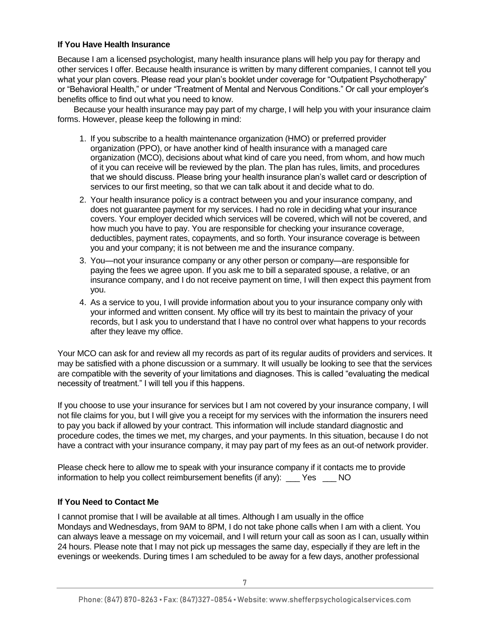## **If You Have Health Insurance**

Because I am a licensed psychologist, many health insurance plans will help you pay for therapy and other services I offer. Because health insurance is written by many different companies, I cannot tell you what your plan covers. Please read your plan's booklet under coverage for "Outpatient Psychotherapy" or "Behavioral Health," or under "Treatment of Mental and Nervous Conditions." Or call your employer's benefits office to find out what you need to know.

Because your health insurance may pay part of my charge, I will help you with your insurance claim forms. However, please keep the following in mind:

- 1. If you subscribe to a health maintenance organization (HMO) or preferred provider organization (PPO), or have another kind of health insurance with a managed care organization (MCO), decisions about what kind of care you need, from whom, and how much of it you can receive will be reviewed by the plan. The plan has rules, limits, and procedures that we should discuss. Please bring your health insurance plan's wallet card or description of services to our first meeting, so that we can talk about it and decide what to do.
- 2. Your health insurance policy is a contract between you and your insurance company, and does not guarantee payment for my services. I had no role in deciding what your insurance covers. Your employer decided which services will be covered, which will not be covered, and how much you have to pay. You are responsible for checking your insurance coverage, deductibles, payment rates, copayments, and so forth. Your insurance coverage is between you and your company; it is not between me and the insurance company.
- 3. You—not your insurance company or any other person or company—are responsible for paying the fees we agree upon. If you ask me to bill a separated spouse, a relative, or an insurance company, and I do not receive payment on time, I will then expect this payment from you.
- 4. As a service to you, I will provide information about you to your insurance company only with your informed and written consent. My office will try its best to maintain the privacy of your records, but I ask you to understand that I have no control over what happens to your records after they leave my office.

Your MCO can ask for and review all my records as part of its regular audits of providers and services. It may be satisfied with a phone discussion or a summary. It will usually be looking to see that the services are compatible with the severity of your limitations and diagnoses. This is called "evaluating the medical necessity of treatment." I will tell you if this happens.

If you choose to use your insurance for services but I am not covered by your insurance company, I will not file claims for you, but I will give you a receipt for my services with the information the insurers need to pay you back if allowed by your contract. This information will include standard diagnostic and procedure codes, the times we met, my charges, and your payments. In this situation, because I do not have a contract with your insurance company, it may pay part of my fees as an out-of network provider.

Please check here to allow me to speak with your insurance company if it contacts me to provide information to help you collect reimbursement benefits (if any): \_\_\_ Yes \_\_\_ NO

## **If You Need to Contact Me**

I cannot promise that I will be available at all times. Although I am usually in the office Mondays and Wednesdays, from 9AM to 8PM, I do not take phone calls when I am with a client. You can always leave a message on my voicemail, and I will return your call as soon as I can, usually within 24 hours. Please note that I may not pick up messages the same day, especially if they are left in the evenings or weekends. During times I am scheduled to be away for a few days, another professional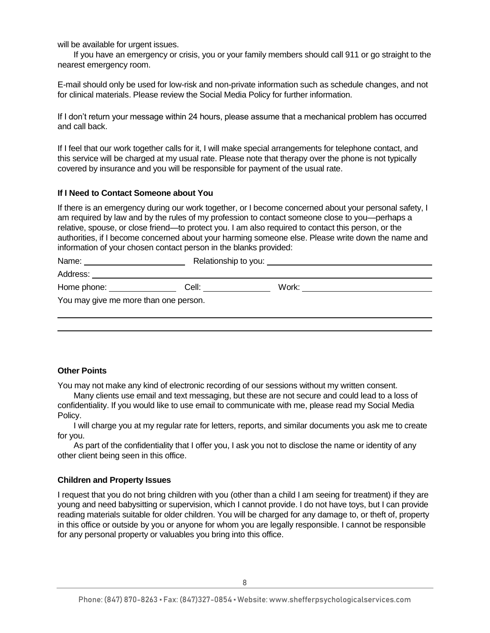will be available for urgent issues.

If you have an emergency or crisis, you or your family members should call 911 or go straight to the nearest emergency room.

E-mail should only be used for low-risk and non-private information such as schedule changes, and not for clinical materials. Please review the Social Media Policy for further information.

If I don't return your message within 24 hours, please assume that a mechanical problem has occurred and call back.

If I feel that our work together calls for it, I will make special arrangements for telephone contact, and this service will be charged at my usual rate. Please note that therapy over the phone is not typically covered by insurance and you will be responsible for payment of the usual rate.

## **If I Need to Contact Someone about You**

If there is an emergency during our work together, or I become concerned about your personal safety, I am required by law and by the rules of my profession to contact someone close to you—perhaps a relative, spouse, or close friend—to protect you. I am also required to contact this person, or the authorities, if I become concerned about your harming someone else. Please write down the name and information of your chosen contact person in the blanks provided:

| Name: and the contract of the contract of the contract of the contract of the contract of the contract of the contract of the contract of the contract of the contract of the contract of the contract of the contract of the |       |                                |  |
|-------------------------------------------------------------------------------------------------------------------------------------------------------------------------------------------------------------------------------|-------|--------------------------------|--|
|                                                                                                                                                                                                                               |       |                                |  |
| Home phone: _______________                                                                                                                                                                                                   | Cell: | Work: ________________________ |  |
| You may give me more than one person.                                                                                                                                                                                         |       |                                |  |
|                                                                                                                                                                                                                               |       |                                |  |
|                                                                                                                                                                                                                               |       |                                |  |

## **Other Points**

You may not make any kind of electronic recording of our sessions without my written consent.

Many clients use email and text messaging, but these are not secure and could lead to a loss of confidentiality. If you would like to use email to communicate with me, please read my Social Media Policy.

I will charge you at my regular rate for letters, reports, and similar documents you ask me to create for you.

As part of the confidentiality that I offer you, I ask you not to disclose the name or identity of any other client being seen in this office.

## **Children and Property Issues**

I request that you do not bring children with you (other than a child I am seeing for treatment) if they are young and need babysitting or supervision, which I cannot provide. I do not have toys, but I can provide reading materials suitable for older children. You will be charged for any damage to, or theft of, property in this office or outside by you or anyone for whom you are legally responsible. I cannot be responsible for any personal property or valuables you bring into this office.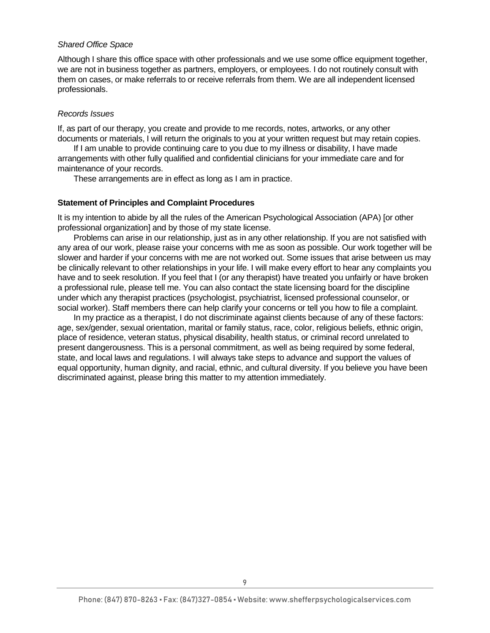## *Shared Office Space*

Although I share this office space with other professionals and we use some office equipment together, we are not in business together as partners, employers, or employees. I do not routinely consult with them on cases, or make referrals to or receive referrals from them. We are all independent licensed professionals.

## *Records Issues*

If, as part of our therapy, you create and provide to me records, notes, artworks, or any other documents or materials, I will return the originals to you at your written request but may retain copies.

If I am unable to provide continuing care to you due to my illness or disability, I have made arrangements with other fully qualified and confidential clinicians for your immediate care and for maintenance of your records.

These arrangements are in effect as long as I am in practice.

## **Statement of Principles and Complaint Procedures**

It is my intention to abide by all the rules of the American Psychological Association (APA) [or other professional organization] and by those of my state license.

Problems can arise in our relationship, just as in any other relationship. If you are not satisfied with any area of our work, please raise your concerns with me as soon as possible. Our work together will be slower and harder if your concerns with me are not worked out. Some issues that arise between us may be clinically relevant to other relationships in your life. I will make every effort to hear any complaints you have and to seek resolution. If you feel that I (or any therapist) have treated you unfairly or have broken a professional rule, please tell me. You can also contact the state licensing board for the discipline under which any therapist practices (psychologist, psychiatrist, licensed professional counselor, or social worker). Staff members there can help clarify your concerns or tell you how to file a complaint.

In my practice as a therapist, I do not discriminate against clients because of any of these factors: age, sex/gender, sexual orientation, marital or family status, race, color, religious beliefs, ethnic origin, place of residence, veteran status, physical disability, health status, or criminal record unrelated to present dangerousness. This is a personal commitment, as well as being required by some federal, state, and local laws and regulations. I will always take steps to advance and support the values of equal opportunity, human dignity, and racial, ethnic, and cultural diversity. If you believe you have been discriminated against, please bring this matter to my attention immediately.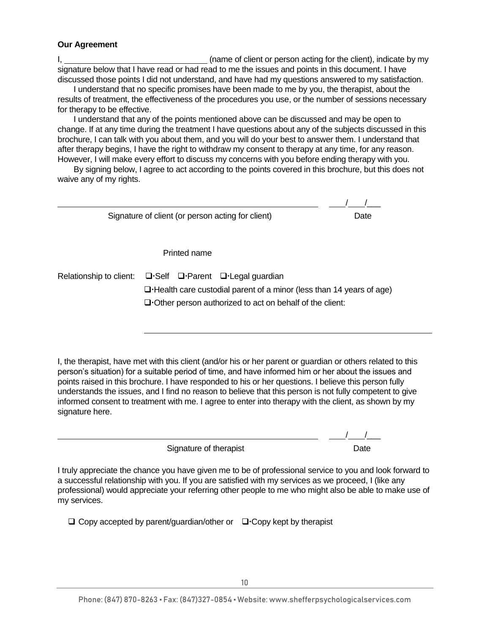#### **Our Agreement**

I, (name of client or person acting for the client), indicate by my signature below that I have read or had read to me the issues and points in this document. I have discussed those points I did not understand, and have had my questions answered to my satisfaction.

I understand that no specific promises have been made to me by you, the therapist, about the results of treatment, the effectiveness of the procedures you use, or the number of sessions necessary for therapy to be effective.

I understand that any of the points mentioned above can be discussed and may be open to change. If at any time during the treatment I have questions about any of the subjects discussed in this brochure, I can talk with you about them, and you will do your best to answer them. I understand that after therapy begins, I have the right to withdraw my consent to therapy at any time, for any reason. However, I will make every effort to discuss my concerns with you before ending therapy with you.

By signing below, I agree to act according to the points covered in this brochure, but this does not waive any of my rights.

| Signature of client (or person acting for client)                                                                                                                                                                          |              | Date |  |
|----------------------------------------------------------------------------------------------------------------------------------------------------------------------------------------------------------------------------|--------------|------|--|
|                                                                                                                                                                                                                            | Printed name |      |  |
| $\Box$ Self $\Box$ Parent $\Box$ Legal guardian<br>Relationship to client:<br>$\Box$ Health care custodial parent of a minor (less than 14 years of age)<br>$\Box$ Other person authorized to act on behalf of the client: |              |      |  |

I, the therapist, have met with this client (and/or his or her parent or guardian or others related to this person's situation) for a suitable period of time, and have informed him or her about the issues and points raised in this brochure. I have responded to his or her questions. I believe this person fully understands the issues, and I find no reason to believe that this person is not fully competent to give informed consent to treatment with me. I agree to enter into therapy with the client, as shown by my signature here.

Signature of therapist **Date** 

 $/$   $/$ 

I truly appreciate the chance you have given me to be of professional service to you and look forward to a successful relationship with you. If you are satisfied with my services as we proceed, I (like any professional) would appreciate your referring other people to me who might also be able to make use of my services.

 $\Box$  Copy accepted by parent/guardian/other or  $\Box$  Copy kept by therapist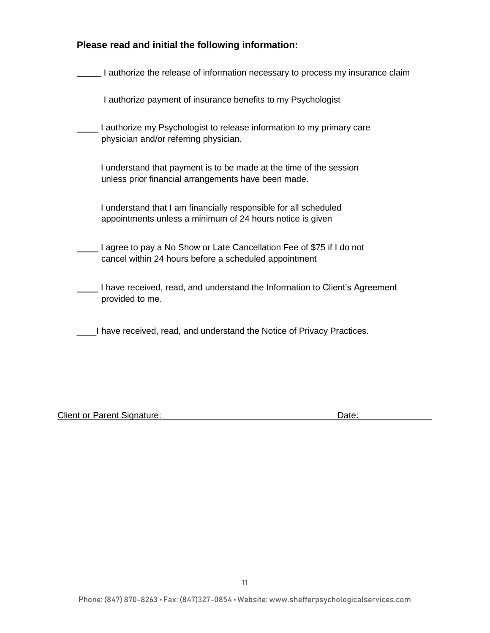| I authorize the release of information necessary to process my insurance claim                                                 |
|--------------------------------------------------------------------------------------------------------------------------------|
| I authorize payment of insurance benefits to my Psychologist                                                                   |
| I authorize my Psychologist to release information to my primary care<br>physician and/or referring physician.                 |
| I understand that payment is to be made at the time of the session<br>unless prior financial arrangements have been made.      |
| I understand that I am financially responsible for all scheduled<br>appointments unless a minimum of 24 hours notice is given  |
| I agree to pay a No Show or Late Cancellation Fee of \$75 if I do not<br>cancel within 24 hours before a scheduled appointment |
| I have received, read, and understand the Information to Client's Agreement<br>provided to me.                                 |
| I have received, read, and understand the Notice of Privacy Practices.                                                         |

| <b>Client or Parent Signature:</b><br>Date: |  |
|---------------------------------------------|--|
|---------------------------------------------|--|